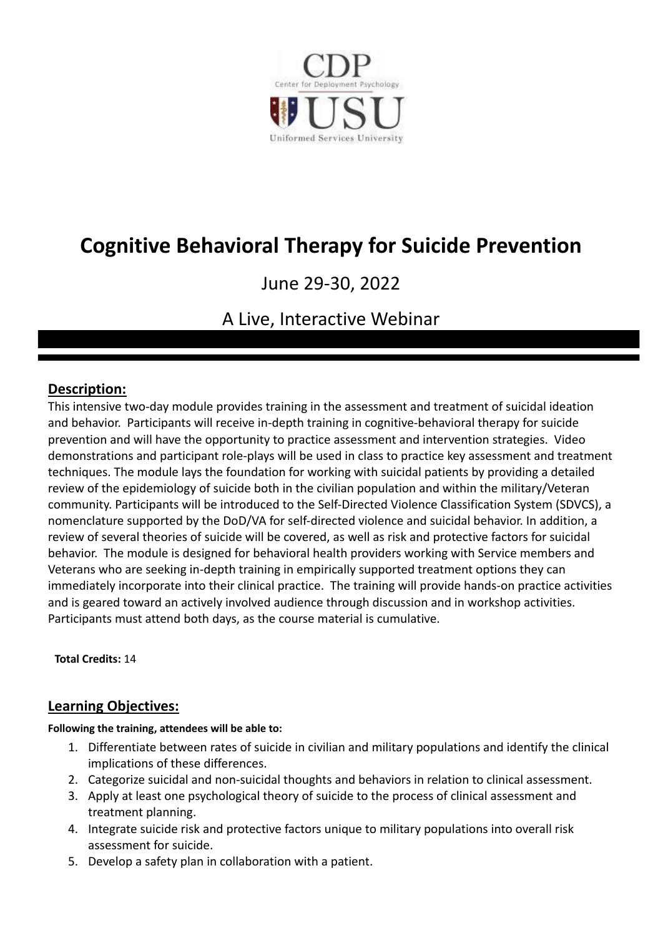

# **Cognitive Behavioral Therapy for Suicide Prevention**

## June 29-30, 2022

## A Live, Interactive Webinar

## **Description:**

This intensive two-day module provides training in the assessment and treatment of suicidal ideation and behavior. Participants will receive in-depth training in cognitive-behavioral therapy for suicide prevention and will have the opportunity to practice assessment and intervention strategies. Video demonstrations and participant role-plays will be used in class to practice key assessment and treatment techniques. The module lays the foundation for working with suicidal patients by providing a detailed review of the epidemiology of suicide both in the civilian population and within the military/Veteran community. Participants will be introduced to the Self-Directed Violence Classification System (SDVCS), a nomenclature supported by the DoD/VA for self-directed violence and suicidal behavior. In addition, a review of several theories of suicide will be covered, as well as risk and protective factors for suicidal behavior. The module is designed for behavioral health providers working with Service members and Veterans who are seeking in-depth training in empirically supported treatment options they can immediately incorporate into their clinical practice. The training will provide hands-on practice activities and is geared toward an actively involved audience through discussion and in workshop activities. Participants must attend both days, as the course material is cumulative.

**Total Credits:** 14

## **Learning Objectives:**

**Following the training, attendees will be able to:**

- 1. Differentiate between rates of suicide in civilian and military populations and identify the clinical implications of these differences.
- 2. Categorize suicidal and non-suicidal thoughts and behaviors in relation to clinical assessment.
- 3. Apply at least one psychological theory of suicide to the process of clinical assessment and treatment planning.
- 4. Integrate suicide risk and protective factors unique to military populations into overall risk assessment for suicide.
- 5. Develop a safety plan in collaboration with a patient.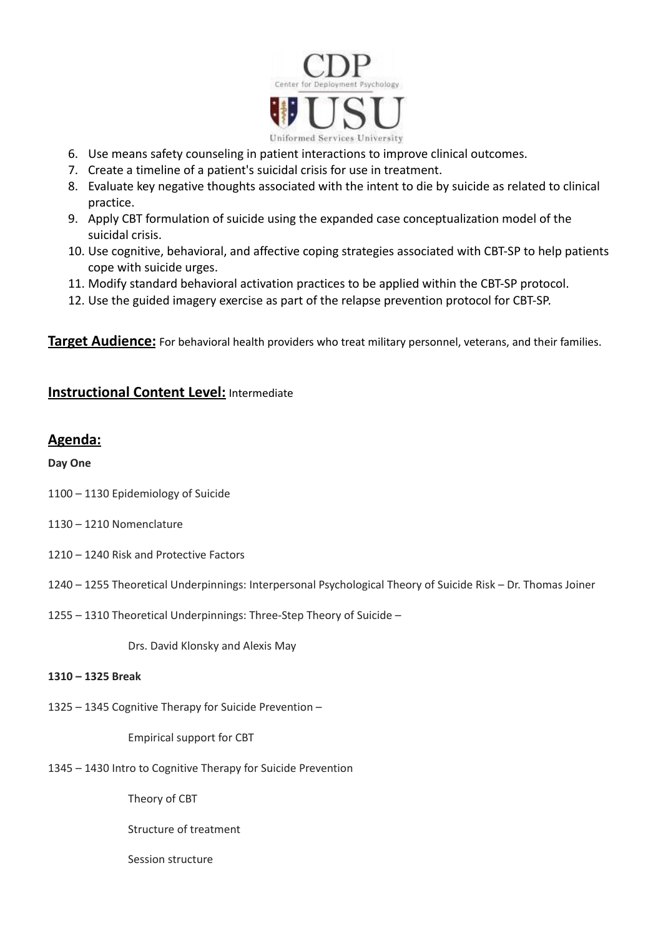

- 6. Use means safety counseling in patient interactions to improve clinical outcomes.
- 7. Create a timeline of a patient's suicidal crisis for use in treatment.
- 8. Evaluate key negative thoughts associated with the intent to die by suicide as related to clinical practice.
- 9. Apply CBT formulation of suicide using the expanded case conceptualization model of the suicidal crisis.
- 10. Use cognitive, behavioral, and affective coping strategies associated with CBT-SP to help patients cope with suicide urges.
- 11. Modify standard behavioral activation practices to be applied within the CBT-SP protocol.
- 12. Use the guided imagery exercise as part of the relapse prevention protocol for CBT-SP.

**Target Audience:** For behavioral health providers who treat military personnel, veterans, and their families.

## **Instructional Content Level:** Intermediate

## **Agenda:**

**Day One**

- 1100 1130 Epidemiology of Suicide
- 1130 1210 Nomenclature
- 1210 1240 Risk and Protective Factors
- 1240 1255 Theoretical Underpinnings: Interpersonal Psychological Theory of Suicide Risk Dr. Thomas Joiner
- 1255 1310 Theoretical Underpinnings: Three-Step Theory of Suicide –

Drs. David Klonsky and Alexis May

#### **1310 – 1325 Break**

1325 – 1345 Cognitive Therapy for Suicide Prevention –

Empirical support for CBT

1345 – 1430 Intro to Cognitive Therapy for Suicide Prevention

Theory of CBT

Structure of treatment

Session structure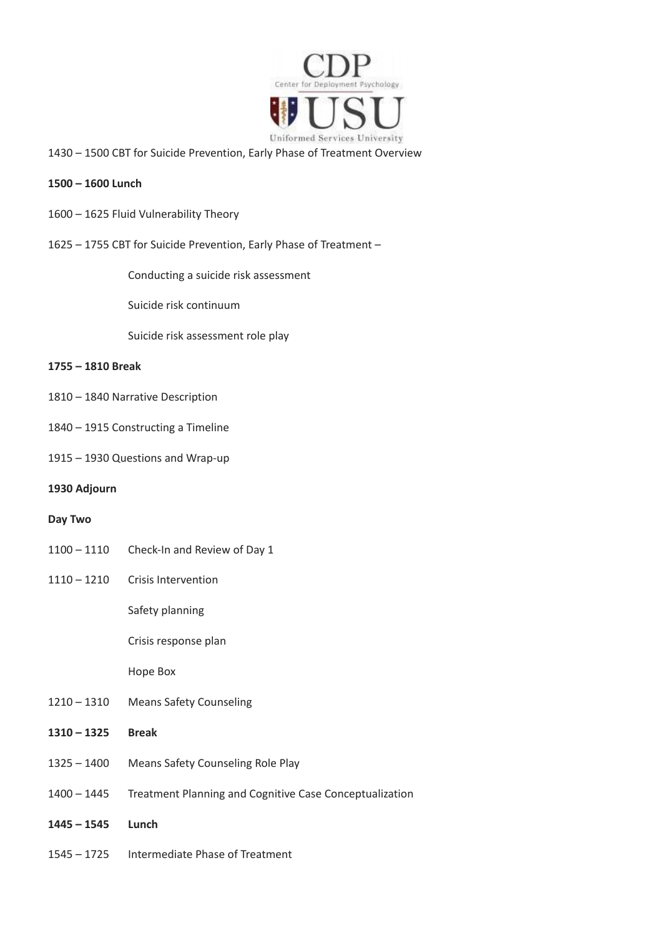

– 1500 CBT for Suicide Prevention, Early Phase of Treatment Overview

#### **– 1600 Lunch**

- 1625 Fluid Vulnerability Theory
- 1755 CBT for Suicide Prevention, Early Phase of Treatment –

Conducting a suicide risk assessment

Suicide risk continuum

Suicide risk assessment role play

#### **– 1810 Break**

- 1840 Narrative Description
- 1915 Constructing a Timeline
- 1930 Questions and Wrap-up

#### **Adjourn**

#### **Day Two**

- 1110 Check-In and Review of Day 1
- 1210 Crisis Intervention

Safety planning

Crisis response plan

Hope Box

- 1310 Means Safety Counseling
- **– 1325 Break**
- 1400 Means Safety Counseling Role Play
- 1445 Treatment Planning and Cognitive Case Conceptualization
- **– 1545 Lunch**
- 1725 Intermediate Phase of Treatment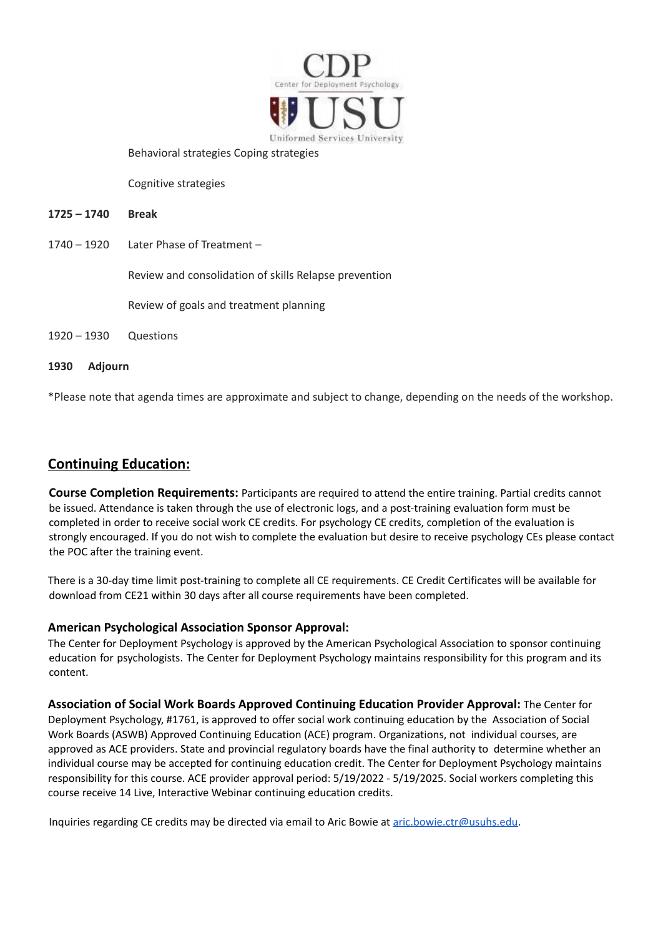

Behavioral strategies Coping strategies

Cognitive strategies

#### **1725 – 1740 Break**

1740 – 1920 Later Phase of Treatment –

Review and consolidation of skills Relapse prevention

Review of goals and treatment planning

#### 1920 – 1930 Questions

#### **1930 Adjourn**

\*Please note that agenda times are approximate and subject to change, depending on the needs of the workshop.

### **Continuing Education:**

**Course Completion Requirements:** Participants are required to attend the entire training. Partial credits cannot be issued. Attendance is taken through the use of electronic logs, and a post-training evaluation form must be completed in order to receive social work CE credits. For psychology CE credits, completion of the evaluation is strongly encouraged. If you do not wish to complete the evaluation but desire to receive psychology CEs please contact the POC after the training event.

There is a 30-day time limit post-training to complete all CE requirements. CE Credit Certificates will be available for download from CE21 within 30 days after all course requirements have been completed.

#### **American Psychological Association Sponsor Approval:**

The Center for Deployment Psychology is approved by the American Psychological Association to sponsor continuing education for psychologists. The Center for Deployment Psychology maintains responsibility for this program and its content.

**Association of Social Work Boards Approved Continuing Education Provider Approval:** The Center for Deployment Psychology, #1761, is approved to offer social work continuing education by the Association of Social Work Boards (ASWB) Approved Continuing Education (ACE) program. Organizations, not individual courses, are approved as ACE providers. State and provincial regulatory boards have the final authority to determine whether an individual course may be accepted for continuing education credit. The Center for Deployment Psychology maintains responsibility for this course. ACE provider approval period: 5/19/2022 - 5/19/2025. Social workers completing this course receive 14 Live, Interactive Webinar continuing education credits.

Inquiries regarding CE credits may be directed via email to Aric Bowie at [aric.bowie.ctr@usuhs.edu.](mailto:aric.bowie.ctr@usuhs.edu)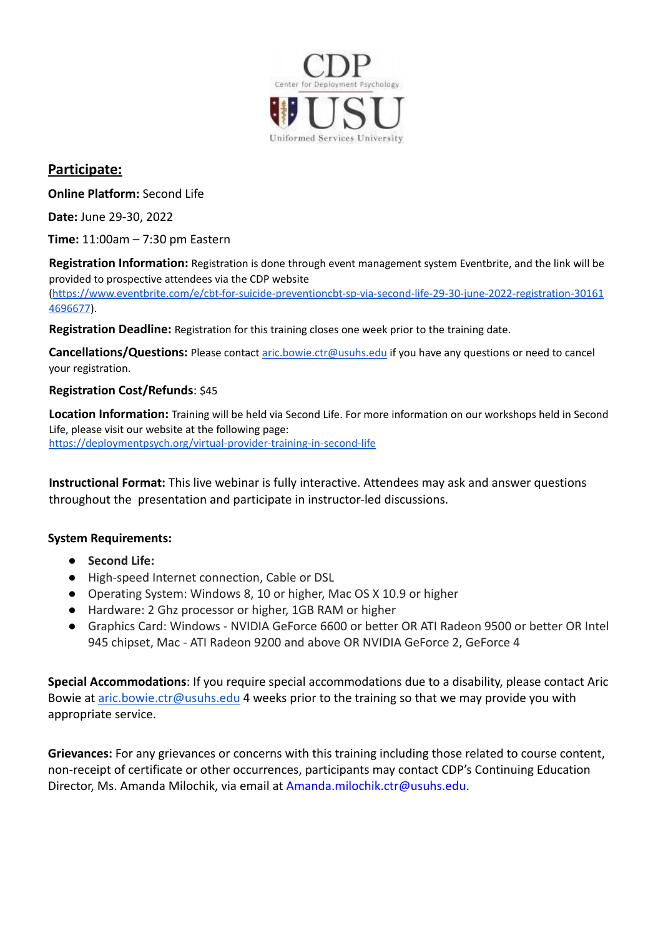

## **Participate:**

**Online Platform:** Second Life

**Date:** June 29-30, 2022

**Time:** 11:00am – 7:30 pm Eastern

**Registration Information:** Registration is done through event management system Eventbrite, and the link will be provided to prospective attendees via the CDP website

[\(https://www.eventbrite.com/e/cbt-for-suicide-preventioncbt-sp-via-second-life-29-30-june-2022-registration-30161](https://www.eventbrite.com/e/cbt-for-suicide-preventioncbt-sp-via-second-life-29-30-june-2022-registration-301614696677) [4696677](https://www.eventbrite.com/e/cbt-for-suicide-preventioncbt-sp-via-second-life-29-30-june-2022-registration-301614696677)).

**Registration Deadline:** Registration for this training closes one week prior to the training date.

Cancellations/Questions: Please contact [aric.bowie.ctr@usuhs.edu](mailto:aric.bowie.ctr@usuhs.edu) if you have any questions or need to cancel your registration.

### **Registration Cost/Refunds**: \$45

**Location Information:** Training will be held via Second Life. For more information on our workshops held in Second Life, please visit our website at the following page: <https://deploymentpsych.org/virtual-provider-training-in-second-life>

**Instructional Format:** This live webinar is fully interactive. Attendees may ask and answer questions throughout the presentation and participate in instructor-led discussions.

## **System Requirements:**

- **Second Life:**
- High-speed Internet connection, Cable or DSL
- Operating System: Windows 8, 10 or higher, Mac OS X 10.9 or higher
- Hardware: 2 Ghz processor or higher, 1GB RAM or higher
- Graphics Card: Windows NVIDIA GeForce 6600 or better OR ATI Radeon 9500 or better OR Intel 945 chipset, Mac - ATI Radeon 9200 and above OR NVIDIA GeForce 2, GeForce 4

**Special Accommodations**: If you require special accommodations due to a disability, please contact Aric Bowie at [aric.bowie.ctr@usuhs.edu](mailto:aric.bowie.ctr@usuhs.edu) 4 weeks prior to the training so that we may provide you with appropriate service.

**Grievances:** For any grievances or concerns with this training including those related to course content, non-receipt of certificate or other occurrences, participants may contact CDP's Continuing Education Director, Ms. Amanda Milochik, via email at [Amanda.milochik.ctr@usuhs.edu](mailto:Amanda.milochik.ctr@usuhs.edu).